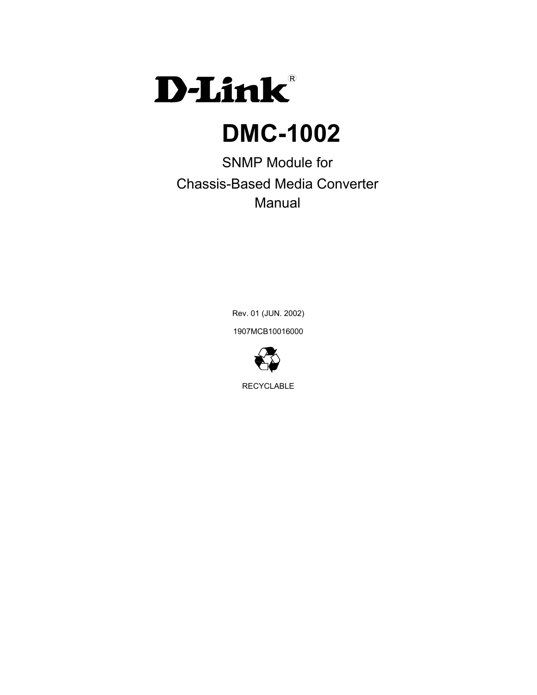

# **DMC-1002**

SNMP Module for Chassis-Based Media Converter **Manual** 

> Rev. 01 (JUN. 2002) 1907MCB10016000



RECYCLABLE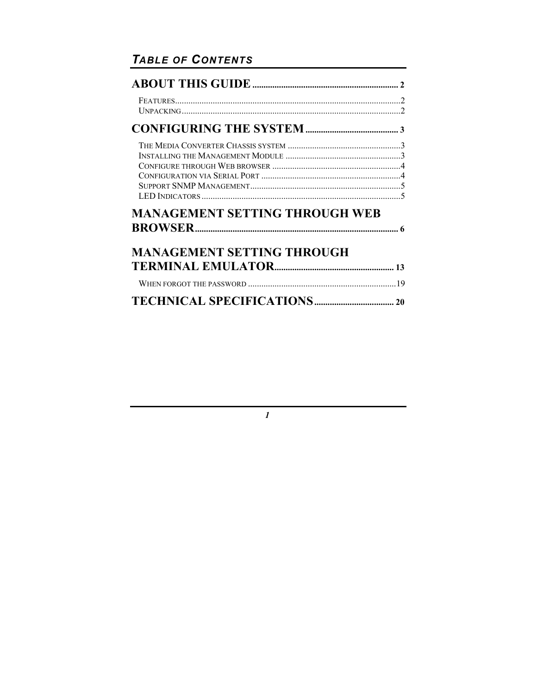# TABLE OF CONTENTS

| <b>MANAGEMENT SETTING THROUGH WEB</b> |  |
|---------------------------------------|--|
| <b>MANAGEMENT SETTING THROUGH</b>     |  |
|                                       |  |
|                                       |  |

 $\boldsymbol{l}$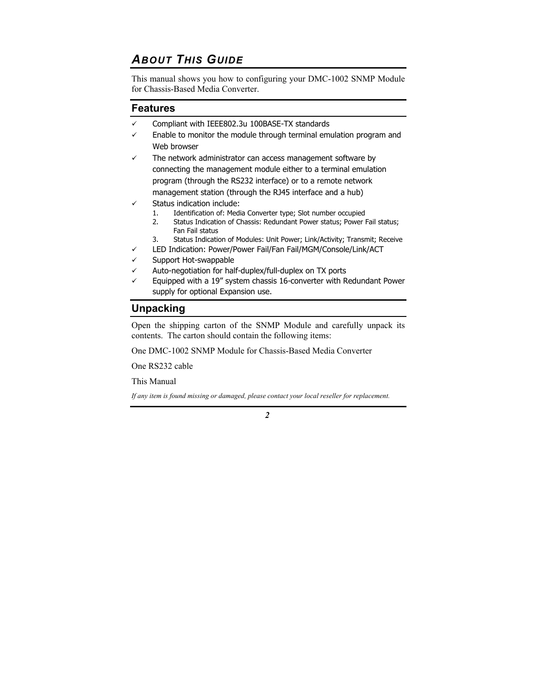# *ABOUT THIS GUIDE*

This manual shows you how to configuring your DMC-1002 SNMP Module for Chassis-Based Media Converter.

### **Features**

- $\checkmark$  Compliant with IEEE802.3u 100BASE-TX standards
- $\checkmark$  Enable to monitor the module through terminal emulation program and Web browser
- The network administrator can access management software by connecting the management module either to a terminal emulation program (through the RS232 interface) or to a remote network management station (through the RJ45 interface and a hub)
- Status indication include:
	- 1. Identification of: Media Converter type; Slot number occupied
	- 2. Status Indication of Chassis: Redundant Power status; Power Fail status; Fan Fail status
	- 3. Status Indication of Modules: Unit Power; Link/Activity; Transmit; Receive
- LED Indication: Power/Power Fail/Fan Fail/MGM/Console/Link/ACT
- Support Hot-swappable
- Auto-negotiation for half-duplex/full-duplex on TX ports
- Equipped with a 19" system chassis 16-converter with Redundant Power supply for optional Expansion use.

### **Unpacking**

Open the shipping carton of the SNMP Module and carefully unpack its contents. The carton should contain the following items:

One DMC-1002 SNMP Module for Chassis-Based Media Converter

One RS232 cable

This Manual

*If any item is found missing or damaged, please contact your local reseller for replacement.*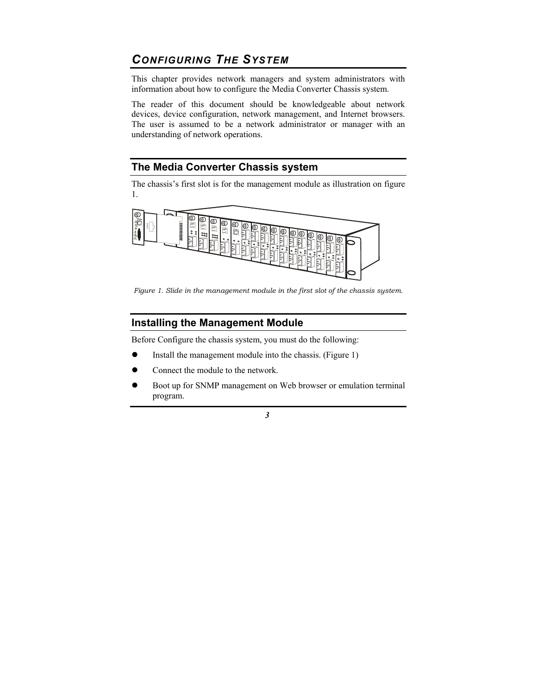# *CONFIGURING THE SYSTEM*

This chapter provides network managers and system administrators with information about how to configure the Media Converter Chassis system.

The reader of this document should be knowledgeable about network devices, device configuration, network management, and Internet browsers. The user is assumed to be a network administrator or manager with an understanding of network operations.

#### **The Media Converter Chassis system**

The chassis's first slot is for the management module as illustration on figure 1.



*Figure 1. Slide in the management module in the first slot of the chassis system.* 

## **Installing the Management Module**

Before Configure the chassis system, you must do the following:

- Install the management module into the chassis. (Figure 1)
- Connect the module to the network.
- Boot up for SNMP management on Web browser or emulation terminal program.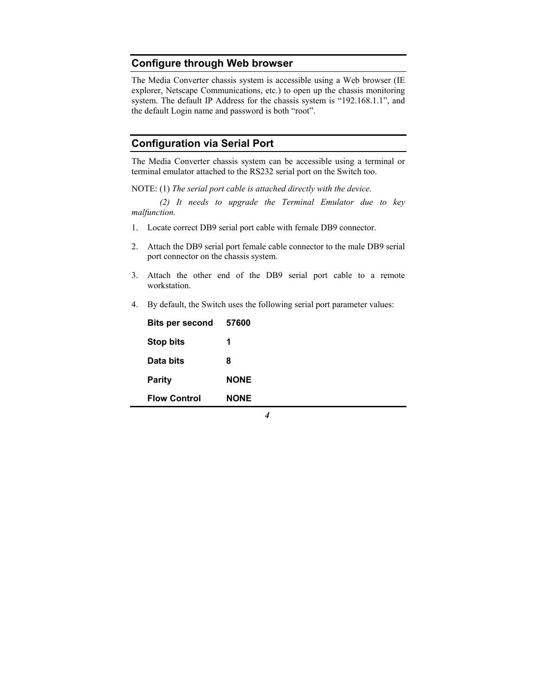### **Configure through Web browser**

The Media Converter chassis system is accessible using a Web browser (IE explorer, Netscape Communications, etc.) to open up the chassis monitoring system. The default IP Address for the chassis system is "192.168.1.1", and the default Login name and password is both "root".

#### **Configuration via Serial Port**

The Media Converter chassis system can be accessible using a terminal or terminal emulator attached to the RS232 serial port on the Switch too.

NOTE: (1) *The serial port cable is attached directly with the device.* 

 *(2) It needs to upgrade the Terminal Emulator due to key malfunction.* 

- 1. Locate correct DB9 serial port cable with female DB9 connector.
- 2. Attach the DB9 serial port female cable connector to the male DB9 serial port connector on the chassis system.
- 3. Attach the other end of the DB9 serial port cable to a remote workstation.
- 4. By default, the Switch uses the following serial port parameter values:

| <b>Flow Control</b>    | <b>NONE</b> |
|------------------------|-------------|
| <b>Parity</b>          | <b>NONE</b> |
| Data bits              | 8           |
| <b>Stop bits</b>       | 1           |
| <b>Bits per second</b> | 57600       |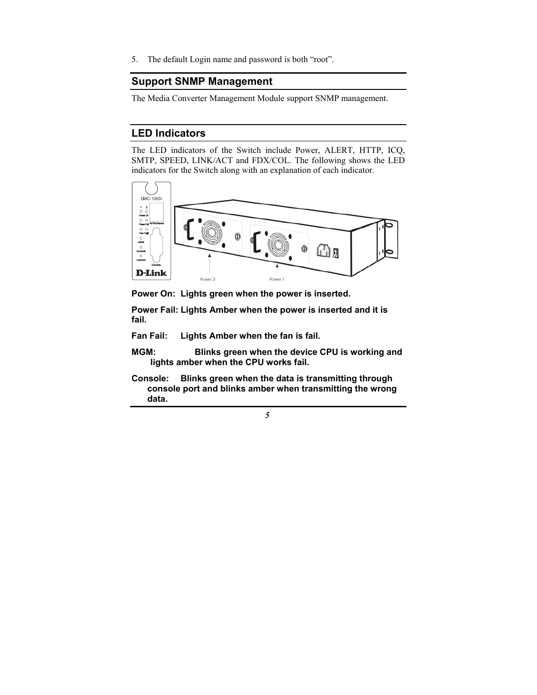5. The default Login name and password is both "root".

#### **Support SNMP Management**

The Media Converter Management Module support SNMP management.

#### **LED Indicators**

The LED indicators of the Switch include Power, ALERT, HTTP, ICQ, SMTP, SPEED, LINK/ACT and FDX/COL. The following shows the LED indicators for the Switch along with an explanation of each indicator.



**Power On: Lights green when the power is inserted.** 

**Power Fail: Lights Amber when the power is inserted and it is fail.** 

**Fan Fail: Lights Amber when the fan is fail.** 

- **MGM: Blinks green when the device CPU is working and lights amber when the CPU works fail.**
- **Console: Blinks green when the data is transmitting through console port and blinks amber when transmitting the wrong data.**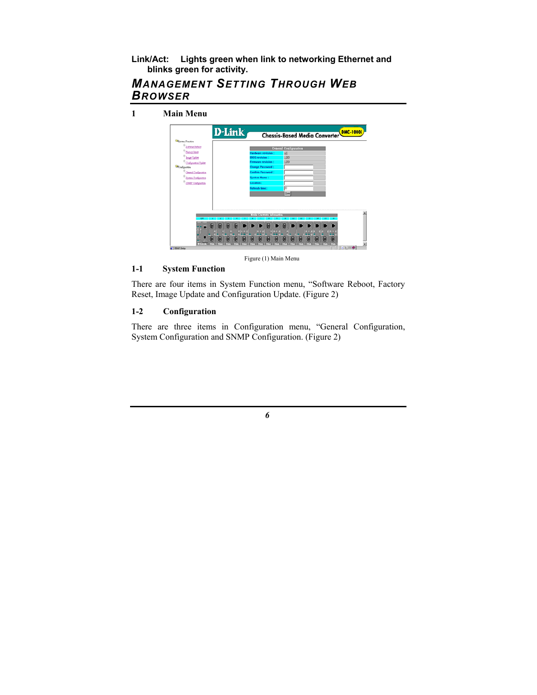#### **Link/Act: Lights green when link to networking Ethernet and blinks green for activity.**

### *MANAGEMENT SETTING THROUGH WEB BROWSER*

**1 Main Menu** 



Figure (1) Main Menu

#### **1-1 System Function**

There are four items in System Function menu, "Software Reboot, Factory Reset, Image Update and Configuration Update. (Figure 2)

#### **1-2 Configuration**

There are three items in Configuration menu, "General Configuration, System Configuration and SNMP Configuration. (Figure 2)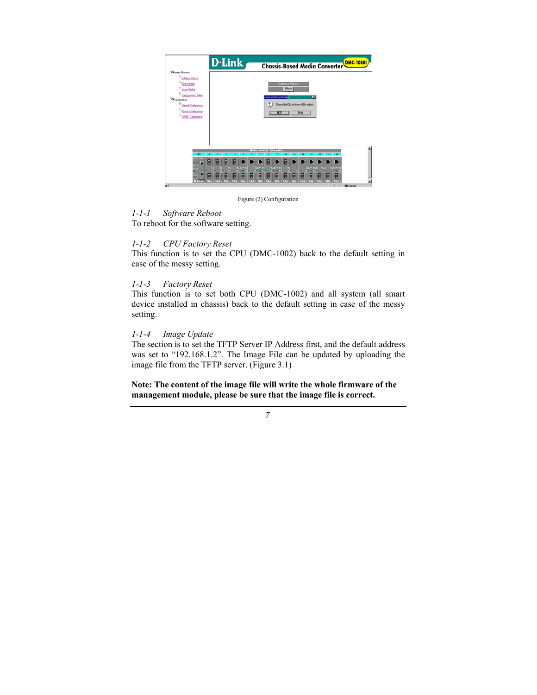

Figure (2) Configuration

#### *1-1-1 Software Reboot*

To reboot for the software setting.

#### *1-1-2 CPU Factory Reset*

This function is to set the CPU (DMC-1002) back to the default setting in case of the messy setting.

#### *1-1-3 Factory Reset*

This function is to set both CPU (DMC-1002) and all system (all smart device installed in chassis) back to the default setting in case of the messy setting.

#### *1-1-4 Image Update*

The section is to set the TFTP Server IP Address first, and the default address was set to "192.168.1.2". The Image File can be updated by uploading the image file from the TFTP server. (Figure 3.1)

**Note: The content of the image file will write the whole firmware of the management module, please be sure that the image file is correct.**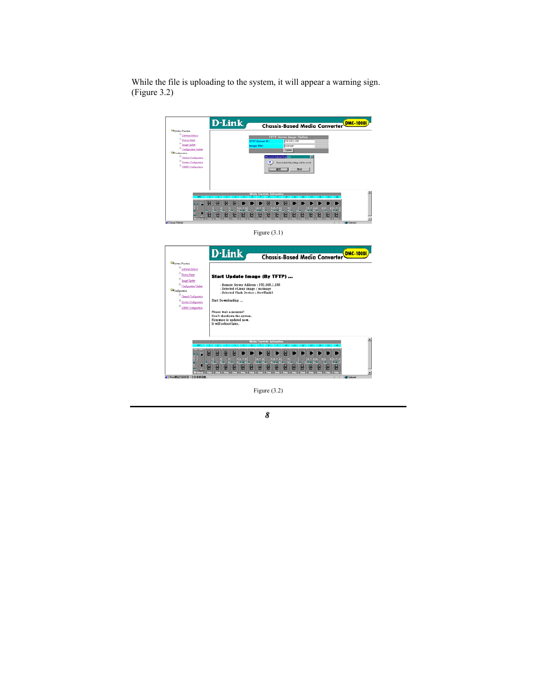While the file is uploading to the system, it will appear a warning sign. (Figure 3.2)



Figure (3.1)



Figure (3.2)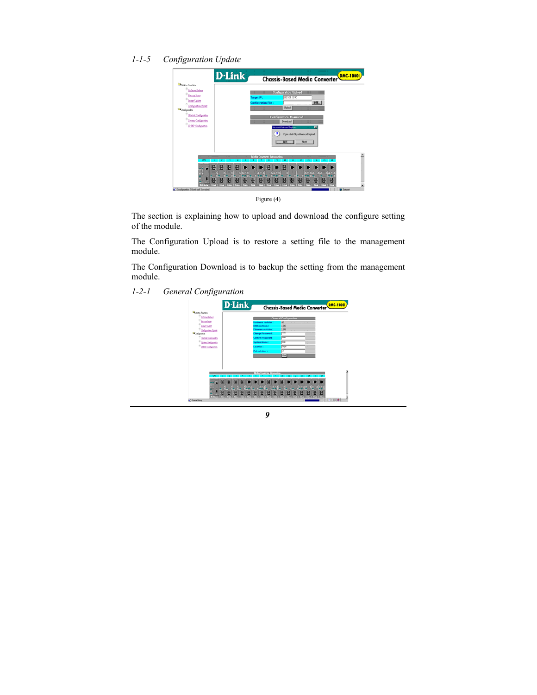*1-1-5 Configuration Update* 

|                                                                                                                            | <b>D</b> -Link |   |  |           |                               |  |                                           |               |                                                 | <b>Chassis-Based Media Converter</b> |    |  | <b>DMC-1000i</b> |
|----------------------------------------------------------------------------------------------------------------------------|----------------|---|--|-----------|-------------------------------|--|-------------------------------------------|---------------|-------------------------------------------------|--------------------------------------|----|--|------------------|
| <b>Elizabeth Function</b><br><sup>8</sup> Software Relieve<br><b><i><u>Package Firsten</u></i></b><br><b>Joseph Update</b> |                |   |  | arget IP: |                               |  | <b>Configuration Upload</b>               | 792.168.1.180 |                                                 |                                      |    |  |                  |
| Configuration Update<br><sup>63</sup> Configuration                                                                        |                |   |  |           | Configuration File:<br>$\sim$ |  | Upload.                                   |               |                                                 | 208.                                 |    |  |                  |
| <b>General Configuration</b><br>Storms Configuration<br><sup>B</sup> BMP Oxfigurith                                        |                |   |  |           |                               |  | <b>Configuration Download</b><br>Dowsload |               | −<br>                                           |                                      |    |  |                  |
|                                                                                                                            |                |   |  |           |                               |  | Microsoft Internet Explaner<br>387        |               | If you click Ok, software will upload.<br>27.08 | छ।                                   |    |  |                  |
|                                                                                                                            |                |   |  |           | Modia Courenter Information   |  |                                           |               |                                                 | $^{14}$                              | 15 |  |                  |
|                                                                                                                            |                |   |  |           |                               |  |                                           |               |                                                 |                                      |    |  |                  |
| œ                                                                                                                          |                | 몸 |  |           |                               |  |                                           |               |                                                 |                                      |    |  |                  |

Figure (4)

The section is explaining how to upload and download the configure setting of the module.

The Configuration Upload is to restore a setting file to the management module.

The Configuration Download is to backup the setting from the management module.

*1-2-1 General Configuration*

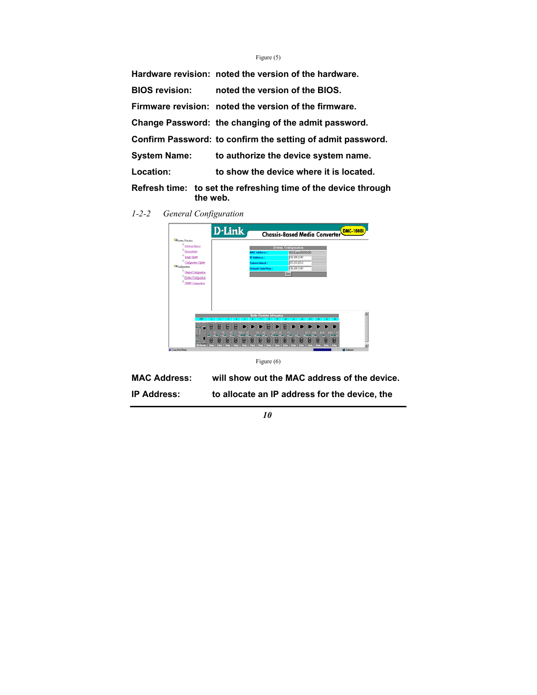#### Figure (5)

|                       | Hardware revision: noted the version of the hardware.          |
|-----------------------|----------------------------------------------------------------|
| <b>BIOS revision:</b> | noted the version of the BIOS.                                 |
|                       | Firmware revision: noted the version of the firmware.          |
|                       | Change Password: the changing of the admit password.           |
|                       | Confirm Password: to confirm the setting of admit password.    |
| <b>System Name:</b>   | to authorize the device system name.                           |
| Location:             | to show the device where it is located.                        |
| the web.              | Refresh time: to set the refreshing time of the device through |

*1-2-2 General Configuration*



Figure (6)

| <b>MAC Address:</b> |  | will show out the MAC address of the device. |
|---------------------|--|----------------------------------------------|
|---------------------|--|----------------------------------------------|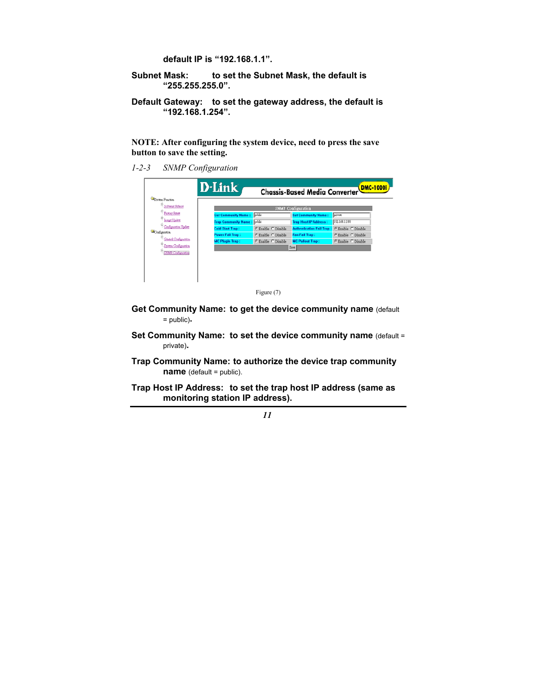#### **default IP is "192.168.1.1".**

- Subnet Mask: to set the Subnet Mask, the default is **"255.255.255.0".**
- **Default Gateway: to set the gateway address, the default is "192.168.1.254".**

**NOTE: After configuring the system device, need to press the save button to save the setting.** 

*1-2-3 SNMP Configuration*

| System Function                                |                    |                                  |                    |
|------------------------------------------------|--------------------|----------------------------------|--------------------|
| <b>Software Reboot</b><br><b>Factory Reset</b> |                    | <b>SNMP</b> Configuration        |                    |
| <b>Get Community Name:</b>                     | poblic             | <b>Set Community Name:</b>       | private            |
| Trap Community Name: poble                     |                    | <b>Trap Host IP Address:</b>     | [192.168.1.188]    |
| <b>Cold Start Trap:</b>                        | G Enable C Disable | <b>Authentication Fail Trap:</b> | C Enable C Disable |
| <b>Power Fall Trap:</b>                        | C Enable C Disable | <b>Fan Fall Trap:</b>            | C Enable C Disable |
| <b>MC Plugin Trap:</b>                         | C Enable C Disable | <b>MC Pullout Trap:</b>          | C Enable C Disable |
|                                                |                    | Save                             |                    |



- **Get Community Name: to get the device community name** (default = public)**.**
- **Set Community Name: to set the device community name (default =** private)**.**
- **Trap Community Name: to authorize the device trap community name** (default = public).
- **Trap Host IP Address: to set the trap host IP address (same as monitoring station IP address).**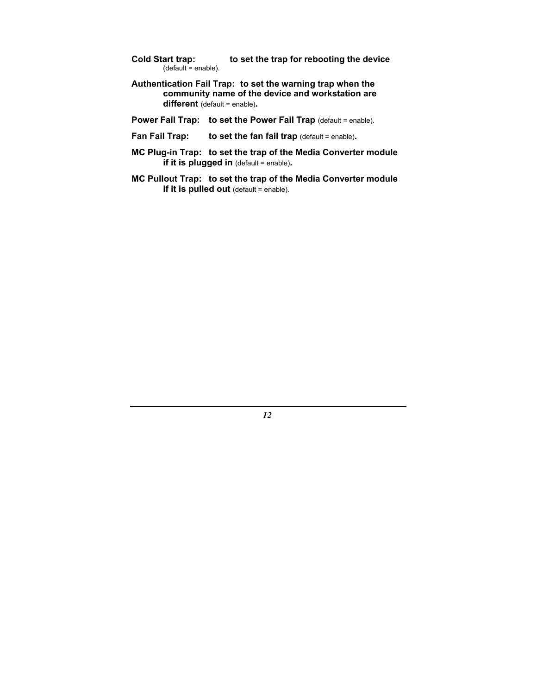- **Cold Start trap: to set the trap for rebooting the device**   $($ default = enable $).$
- **Authentication Fail Trap: to set the warning trap when the community name of the device and workstation are different** (default = enable)**.**
- **Power Fail Trap: to set the Power Fail Trap** (default = enable).
- **Fan Fail Trap:** to set the fan fail trap (default = enable).
- **MC Plug-in Trap: to set the trap of the Media Converter module if it is plugged in** (default = enable).
- **MC Pullout Trap: to set the trap of the Media Converter module if it is pulled out** (default = enable).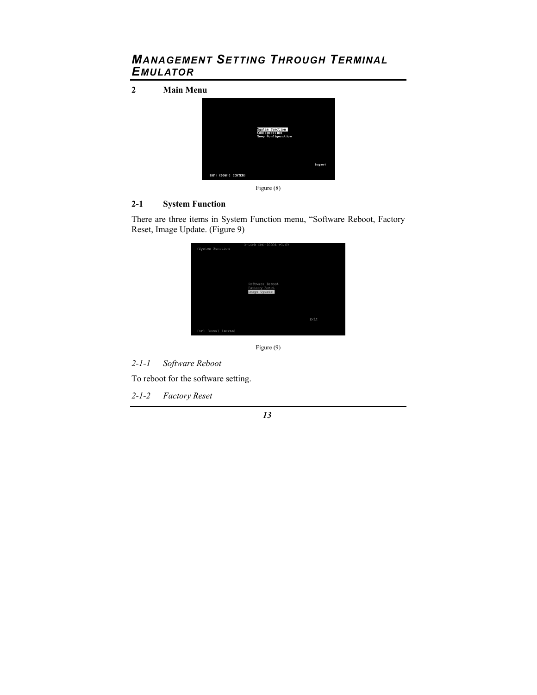# *MANAGEMENT SETTING THROUGH TERMINAL EMULATOR*

**2 Main Menu** 



Figure (8)

#### **2-1 System Function**

There are three items in System Function menu, "Software Reboot, Factory Reset, Image Update. (Figure 9)

| /System Function    | D-Link DMC-1000i v1.09                           |      |
|---------------------|--------------------------------------------------|------|
|                     |                                                  |      |
|                     |                                                  |      |
|                     | Software Reboot<br>Factory Reset<br>Image Update |      |
|                     |                                                  |      |
|                     |                                                  | Exit |
| [UP] [DOWN] [ENTER] |                                                  |      |

Figure (9)

*2-1-1 Software Reboot* 

To reboot for the software setting.

*2-1-2 Factory Reset*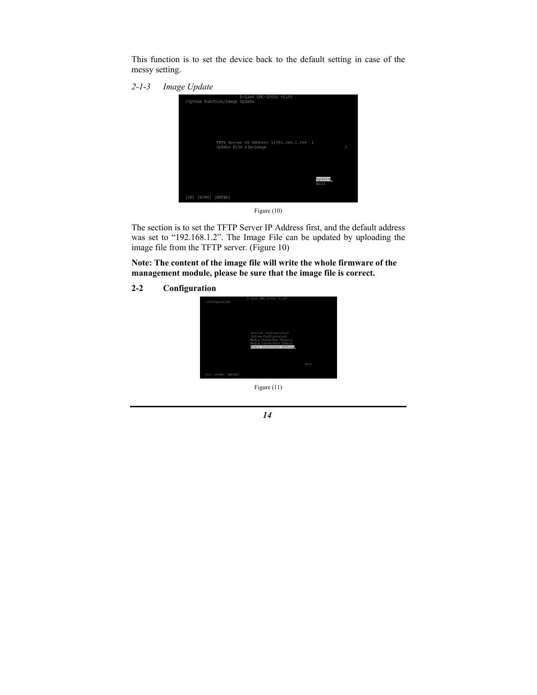This function is to set the device back to the default setting in case of the messy setting.

*2-1-3 Image Update* 





The section is to set the TFTP Server IP Address first, and the default address was set to "192.168.1.2". The Image File can be updated by uploading the image file from the TFTP server. (Figure 10)

**Note: The content of the image file will write the whole firmware of the management module, please be sure that the image file is correct.** 

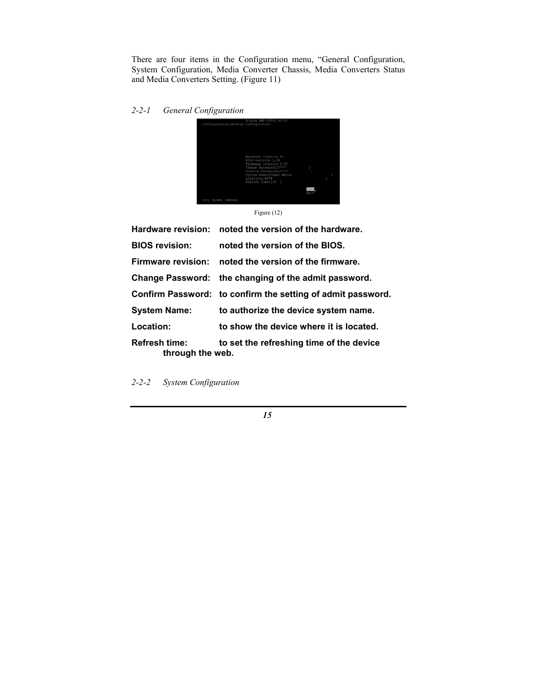There are four items in the Configuration menu, "General Configuration, System Configuration, Media Converter Chassis, Media Converters Status and Media Converters Setting. (Figure 11)

*2-2-1 General Configuration* 



Figure (12)

|                                          | Hardware revision: noted the version of the hardware.       |
|------------------------------------------|-------------------------------------------------------------|
| <b>BIOS revision:</b>                    | noted the version of the BIOS.                              |
| Firmware revision:                       | noted the version of the firmware.                          |
|                                          | Change Password: the changing of the admit password.        |
|                                          | Confirm Password: to confirm the setting of admit password. |
| <b>System Name:</b>                      | to authorize the device system name.                        |
| Location:                                | to show the device where it is located.                     |
| <b>Refresh time:</b><br>through the web. | to set the refreshing time of the device                    |

*2-2-2 System Configuration*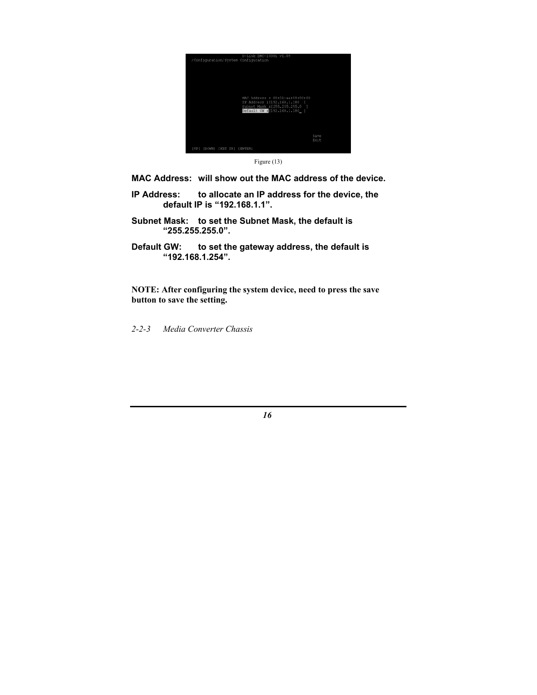



**MAC Address: will show out the MAC address of the device.** 

- **IP Address: to allocate an IP address for the device, the default IP is "192.168.1.1".**
- **Subnet Mask: to set the Subnet Mask, the default is "255.255.255.0".**
- **Default GW: to set the gateway address, the default is "192.168.1.254".**

**NOTE: After configuring the system device, need to press the save button to save the setting.** 

*2-2-3 Media Converter Chassis*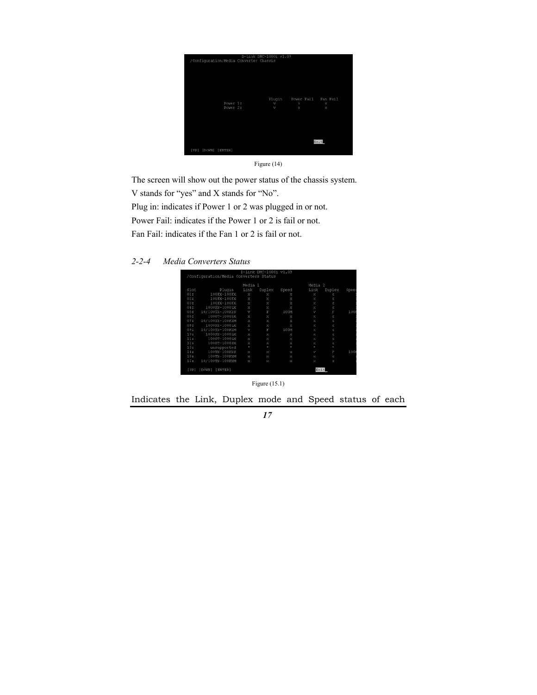|                                        | D-Link DMC-1000i v1.09 |        |                     |                       |
|----------------------------------------|------------------------|--------|---------------------|-----------------------|
| /Configuration/Media Converter Chassis |                        |        |                     |                       |
|                                        |                        |        |                     |                       |
|                                        |                        |        |                     |                       |
|                                        |                        |        |                     |                       |
|                                        |                        |        |                     |                       |
|                                        |                        |        |                     |                       |
|                                        |                        |        |                     |                       |
|                                        |                        |        |                     |                       |
|                                        |                        | Plugin | Power Fail Fan Fail |                       |
| Power 1:                               |                        | v      | ×                   | $\boldsymbol{\times}$ |
| Power 2:                               |                        | v      | ×                   | ×                     |
|                                        |                        |        |                     |                       |
|                                        |                        |        |                     |                       |
|                                        |                        |        |                     |                       |
|                                        |                        |        |                     |                       |
|                                        |                        |        |                     |                       |
|                                        |                        |        |                     |                       |
|                                        |                        |        |                     |                       |
|                                        |                        |        |                     | Exit                  |
|                                        |                        |        |                     |                       |
| [UP] [DOWN] [ENTER]                    |                        |        |                     |                       |
|                                        |                        |        |                     |                       |

Figure (14)

The screen will show out the power status of the chassis system. V stands for "yes" and X stands for "No". Plug in: indicates if Power 1 or 2 was plugged in or not. Power Fail: indicates if the Power 1 or 2 is fail or not. Fan Fail: indicates if the Fan 1 or 2 is fail or not.



|      |                 | Media 1       |        |         | Media | $\overline{2}$ |      |
|------|-----------------|---------------|--------|---------|-------|----------------|------|
| Slot | Plugin          | Link          | Duplex | Speed   | Link  | Duplex         | Spee |
| 01:  | 100FX-100FX     | $\mathbf x$   | ×      | ×       | ×     | ×              |      |
| 02:  | 100FX-100FX     | ×             | ×      | ×       | ×     | ×              |      |
| 03:  | 100FX-100FX     | ×             | ×      | ×       | ×     | ×              |      |
| 04:  | 1000SX-1000LX   | X             | ×      | ×       | ×     | ×              |      |
| 05:  | 10/100TX-100FXS | v             | F      | 100M    | v     | F              | 100  |
| 06:  | 1000T-1000SX    | ×             | ×      | ×       | ×     | ×              |      |
| 07:  | 10/100TX-100FXM | $\mathbbm{X}$ | ×      | ×       | ×     | X              |      |
| 08:  | 1000SX-1000LX   | $\mathbbm{X}$ | ×      | ×       | ×     | X              |      |
| 09:  | 10/100TX-100FXM | v             | y.     | 100M    | ×     | ×              |      |
| 10:  | 1000SX-1000LX   | $\mathbf x$   | ×      | ×       | ×     | X              |      |
| 11:  | 1000T-1000LX    | ×             | ×      | ×       | ×     | ×              |      |
| 12:  | 1000T-1000SX    | $\mathbf x$   | ×      | ×       | ×     | ×              |      |
| 13:  | unsupported     | ٠             | ٠      | $\star$ | ٠     | $\star$        |      |
| 14:  | 100TX-100FXS    | x             | ×      | ×       | v     | F              | 100  |
| 15:  | 100TX-100FXM    | ×             | ×      | ×       | ×     | ×              |      |
| 16:  | 10/100TX-100FXM | ×             | ×      | ×       | ×     | ×              |      |

Figure (15.1)

Indicates the Link, Duplex mode and Speed status of each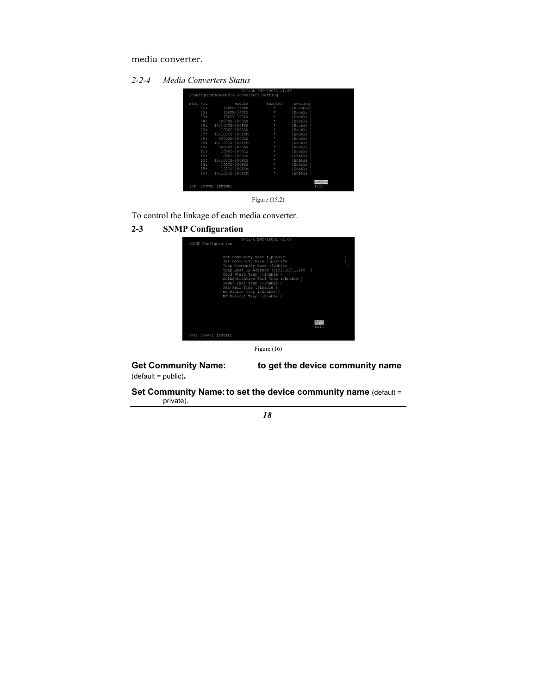media converter.

*2-2-4 Media Converters Status* 

| Slot No.       | Module          | Enabled | Setting        |
|----------------|-----------------|---------|----------------|
| 01:            | 100FX-100FX     | ٠       | {Disable}      |
| 02:            | 100FX-100FX     |         | Enable         |
| 03:            | 100FX-100FX     | ۰       | (Enable        |
| 04:            | 1000sx-1000LX   | ٠       | (Enable        |
| 0.5:           | 10/100TX-100FXS |         | {Enable        |
| 06:            | 1000T-1000SX    |         | (Enable        |
| 07:            | 10/100TX-100FXM |         | Enable         |
| 08:            | 1000SX-1000LX   |         | (Enable        |
| 09:            | 10/100TX-100FXM |         | <i>E</i> nable |
| 10:            | 1000SX-1000LX   |         | (Enable        |
| 11:            | 1000T-1000LX    |         | Enable         |
| 12:            | 1000T-1000SX    |         | (Enable        |
| 13:            | 10/100TX-100FXS |         | {Enable        |
| 14:            | 100TX-100FXS    |         | (Enable        |
| 15:            | 100TX-100FXM    | ٠       | (Enable        |
| 16:            | 10/100TX-100FXM |         | (Enable        |
| [UP]<br>[DOWN] | [ENTER]         |         | Action<br>Exit |



To control the linkage of each media converter.

**2-3 SNMP Configuration** 



Figure (16)

(default = public)**.** 

Get Community Name: to get the device community name

**Set Community Name: to set the device community name (default =** private).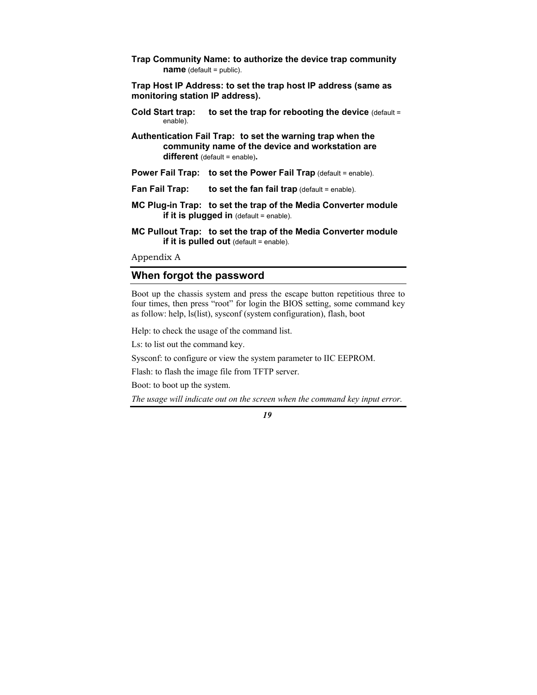**Trap Community Name: to authorize the device trap community name** (default = public).

**Trap Host IP Address: to set the trap host IP address (same as monitoring station IP address).** 

- **Cold Start trap: to set the trap for rebooting the device (default =** enable).
- **Authentication Fail Trap: to set the warning trap when the community name of the device and workstation are different** (default = enable)**.**
- **Power Fail Trap: to set the Power Fail Trap** (default = enable).
- **Fan Fail Trap:** to set the fan fail trap (default = enable).
- **MC Plug-in Trap: to set the trap of the Media Converter module if it is plugged in** (default = enable).
- **MC Pullout Trap: to set the trap of the Media Converter module if it is pulled out** (default = enable).

Appendix A

#### **When forgot the password**

Boot up the chassis system and press the escape button repetitious three to four times, then press "root" for login the BIOS setting, some command key as follow: help, ls(list), sysconf (system configuration), flash, boot

Help: to check the usage of the command list.

Ls: to list out the command key.

Sysconf: to configure or view the system parameter to IIC EEPROM.

Flash: to flash the image file from TFTP server.

Boot: to boot up the system.

*The usage will indicate out on the screen when the command key input error.*